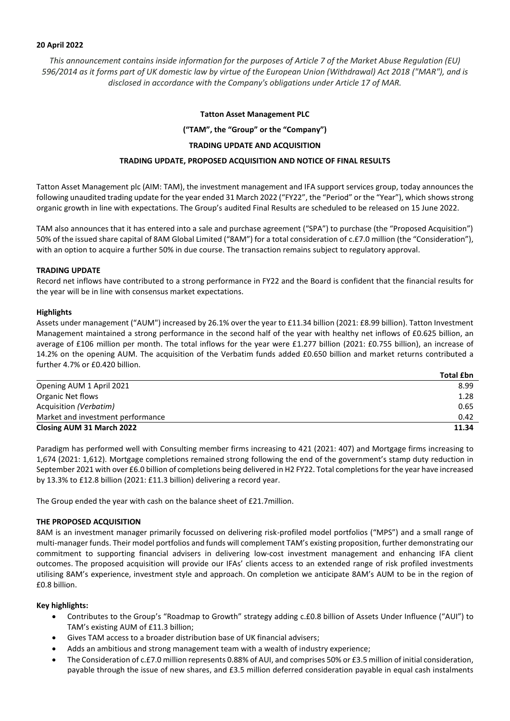## **20 April 2022**

*This announcement contains inside information for the purposes of Article 7 of the Market Abuse Regulation (EU) 596/2014 as it forms part of UK domestic law by virtue of the European Union (Withdrawal) Act 2018 ("MAR"), and is disclosed in accordance with the Company's obligations under Article 17 of MAR.*

## **Tatton Asset Management PLC**

**("TAM", the "Group" or the "Company")**

# **TRADING UPDATE AND ACQUISITION**

# **TRADING UPDATE, PROPOSED ACQUISITION AND NOTICE OF FINAL RESULTS**

Tatton Asset Management plc (AIM: TAM), the investment management and IFA support services group, today announces the following unaudited trading update for the year ended 31 March 2022 ("FY22", the "Period" or the "Year"), which shows strong organic growth in line with expectations. The Group's audited Final Results are scheduled to be released on 15 June 2022.

TAM also announces that it has entered into a sale and purchase agreement ("SPA") to purchase (the "Proposed Acquisition") 50% of the issued share capital of 8AM Global Limited ("8AM") for a total consideration of c.£7.0 million (the "Consideration"), with an option to acquire a further 50% in due course. The transaction remains subject to regulatory approval.

# **TRADING UPDATE**

Record net inflows have contributed to a strong performance in FY22 and the Board is confident that the financial results for the year will be in line with consensus market expectations.

### **Highlights**

Assets under management ("AUM") increased by 26.1% over the year to £11.34 billion (2021: £8.99 billion). Tatton Investment Management maintained a strong performance in the second half of the year with healthy net inflows of £0.625 billion, an average of £106 million per month. The total inflows for the year were £1.277 billion (2021: £0.755 billion), an increase of 14.2% on the opening AUM. The acquisition of the Verbatim funds added £0.650 billion and market returns contributed a further 4.7% or £0.420 billion.

|                                   | <b>Total £bn</b> |
|-----------------------------------|------------------|
| Opening AUM 1 April 2021          | 8.99             |
| Organic Net flows                 | 1.28             |
| Acquisition (Verbatim)            | 0.65             |
| Market and investment performance | 0.42             |
| <b>Closing AUM 31 March 2022</b>  | 11.34            |

Paradigm has performed well with Consulting member firms increasing to 421 (2021: 407) and Mortgage firms increasing to 1,674 (2021: 1,612). Mortgage completions remained strong following the end of the government's stamp duty reduction in September 2021 with over £6.0 billion of completions being delivered in H2 FY22. Total completions for the year have increased by 13.3% to £12.8 billion (2021: £11.3 billion) delivering a record year.

The Group ended the year with cash on the balance sheet of £21.7million.

### **THE PROPOSED ACQUISITION**

8AM is an investment manager primarily focussed on delivering risk-profiled model portfolios ("MPS") and a small range of multi-manager funds. Their model portfolios and funds will complement TAM's existing proposition, further demonstrating our commitment to supporting financial advisers in delivering low-cost investment management and enhancing IFA client outcomes. The proposed acquisition will provide our IFAs' clients access to an extended range of risk profiled investments utilising 8AM's experience, investment style and approach. On completion we anticipate 8AM's AUM to be in the region of £0.8 billion.

### **Key highlights:**

- Contributes to the Group's "Roadmap to Growth" strategy adding c.£0.8 billion of Assets Under Influence ("AUI") to TAM's existing AUM of £11.3 billion;
- Gives TAM access to a broader distribution base of UK financial advisers;
- Adds an ambitious and strong management team with a wealth of industry experience;
- The Consideration of c.£7.0 million represents 0.88% of AUI, and comprises 50% or £3.5 million of initial consideration, payable through the issue of new shares, and £3.5 million deferred consideration payable in equal cash instalments